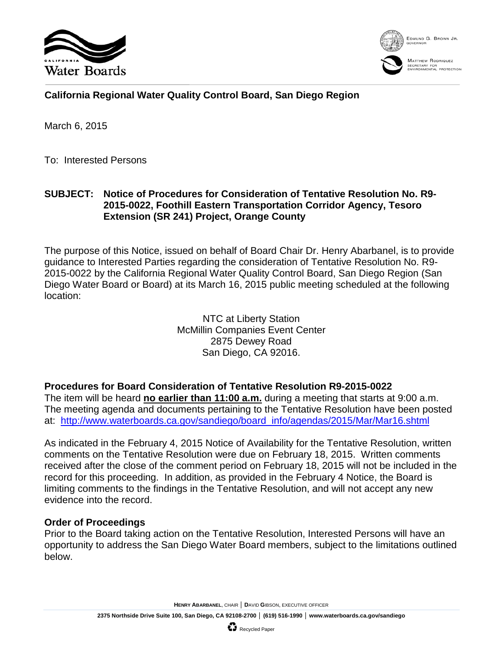



# **California Regional Water Quality Control Board, San Diego Region**

March 6, 2015

To: Interested Persons

## **SUBJECT: Notice of Procedures for Consideration of Tentative Resolution No. R9- 2015-0022, Foothill Eastern Transportation Corridor Agency, Tesoro Extension (SR 241) Project, Orange County**

The purpose of this Notice, issued on behalf of Board Chair Dr. Henry Abarbanel, is to provide guidance to Interested Parties regarding the consideration of Tentative Resolution No. R9- 2015-0022 by the California Regional Water Quality Control Board, San Diego Region (San Diego Water Board or Board) at its March 16, 2015 public meeting scheduled at the following location:

> NTC at Liberty Station McMillin Companies Event Center 2875 Dewey Road San Diego, CA 92016.

### **Procedures for Board Consideration of Tentative Resolution R9-2015-0022**

The item will be heard **no earlier than 11:00 a.m.** during a meeting that starts at 9:00 a.m. The meeting agenda and documents pertaining to the Tentative Resolution have been posted at: [http://www.waterboards.ca.gov/sandiego/board\\_info/agendas/2015/Mar/Mar16.shtml](http://www.waterboards.ca.gov/sandiego/board_info/agendas/2015/Mar/Mar16.shtml)

As indicated in the February 4, 2015 Notice of Availability for the Tentative Resolution, written comments on the Tentative Resolution were due on February 18, 2015. Written comments received after the close of the comment period on February 18, 2015 will not be included in the record for this proceeding. In addition, as provided in the February 4 Notice, the Board is limiting comments to the findings in the Tentative Resolution, and will not accept any new evidence into the record.

### **Order of Proceedings**

Prior to the Board taking action on the Tentative Resolution, Interested Persons will have an opportunity to address the San Diego Water Board members, subject to the limitations outlined below.

**HENRY ABARBANEL**, CHAIR │ **D**AVID **G**IBSON, EXECUTIVE OFFICER

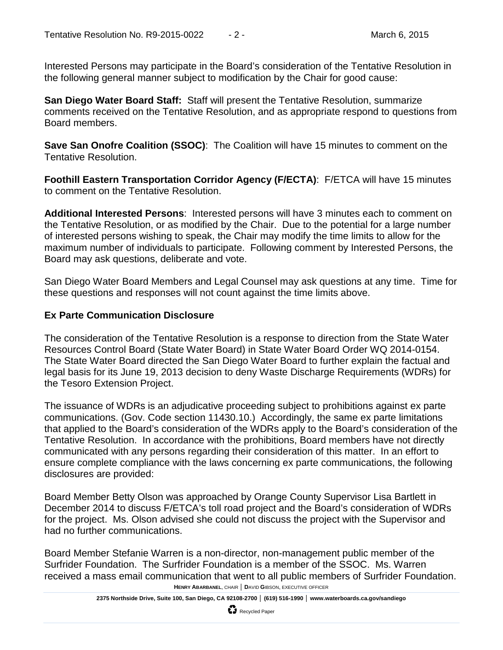Interested Persons may participate in the Board's consideration of the Tentative Resolution in the following general manner subject to modification by the Chair for good cause:

**San Diego Water Board Staff:** Staff will present the Tentative Resolution, summarize comments received on the Tentative Resolution, and as appropriate respond to questions from Board members.

**Save San Onofre Coalition (SSOC)**: The Coalition will have 15 minutes to comment on the Tentative Resolution.

**Foothill Eastern Transportation Corridor Agency (F/ECTA)**: F/ETCA will have 15 minutes to comment on the Tentative Resolution.

**Additional Interested Persons**: Interested persons will have 3 minutes each to comment on the Tentative Resolution, or as modified by the Chair. Due to the potential for a large number of interested persons wishing to speak, the Chair may modify the time limits to allow for the maximum number of individuals to participate. Following comment by Interested Persons, the Board may ask questions, deliberate and vote.

San Diego Water Board Members and Legal Counsel may ask questions at any time. Time for these questions and responses will not count against the time limits above.

#### **Ex Parte Communication Disclosure**

The consideration of the Tentative Resolution is a response to direction from the State Water Resources Control Board (State Water Board) in State Water Board Order WQ 2014-0154. The State Water Board directed the San Diego Water Board to further explain the factual and legal basis for its June 19, 2013 decision to deny Waste Discharge Requirements (WDRs) for the Tesoro Extension Project.

The issuance of WDRs is an adjudicative proceeding subject to prohibitions against ex parte communications. (Gov. Code section 11430.10.) Accordingly, the same ex parte limitations that applied to the Board's consideration of the WDRs apply to the Board's consideration of the Tentative Resolution. In accordance with the prohibitions, Board members have not directly communicated with any persons regarding their consideration of this matter. In an effort to ensure complete compliance with the laws concerning ex parte communications, the following disclosures are provided:

Board Member Betty Olson was approached by Orange County Supervisor Lisa Bartlett in December 2014 to discuss F/ETCA's toll road project and the Board's consideration of WDRs for the project. Ms. Olson advised she could not discuss the project with the Supervisor and had no further communications.

Board Member Stefanie Warren is a non-director, non-management public member of the Surfrider Foundation. The Surfrider Foundation is a member of the SSOC. Ms. Warren received a mass email communication that went to all public members of Surfrider Foundation.

**HENRY ABARBANEL**, CHAIR │ **D**AVID **G**IBSON, EXECUTIVE OFFICER